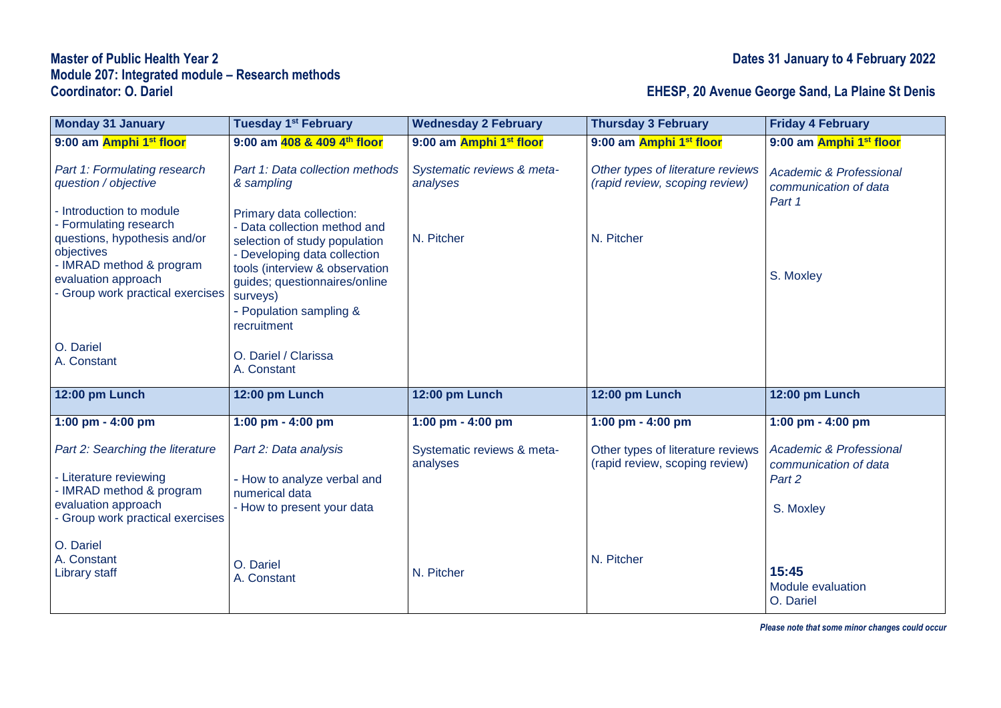## **Master of Public Health Year 2 Dates 31 January to 4 February 2022 Module 207: Integrated module – Research methods**

## **Coordinator: O. Dariel EHESP, 20 Avenue George Sand, La Plaine St Denis**

| <b>Monday 31 January</b>                                                                     | Tuesday 1 <sup>st</sup> February                                                                                          | <b>Wednesday 2 February</b>            | <b>Thursday 3 February</b>                                          | <b>Friday 4 February</b>                                              |
|----------------------------------------------------------------------------------------------|---------------------------------------------------------------------------------------------------------------------------|----------------------------------------|---------------------------------------------------------------------|-----------------------------------------------------------------------|
| 9:00 am Amphi 1st floor                                                                      | 9:00 am 408 & 409 4th floor                                                                                               | 9:00 am Amphi 1 <sup>st</sup> floor    | 9:00 am Amphi 1st floor                                             | 9:00 am Amphi 1st floor                                               |
| Part 1: Formulating research<br>question / objective                                         | Part 1: Data collection methods<br>& sampling                                                                             | Systematic reviews & meta-<br>analyses | Other types of literature reviews<br>(rapid review, scoping review) | <b>Academic &amp; Professional</b><br>communication of data<br>Part 1 |
| Introduction to module<br>Formulating research<br>questions, hypothesis and/or<br>objectives | Primary data collection:<br>- Data collection method and<br>selection of study population<br>- Developing data collection | N. Pitcher                             | N. Pitcher                                                          |                                                                       |
| - IMRAD method & program<br>evaluation approach<br>Group work practical exercises            | tools (interview & observation<br>guides; questionnaires/online<br>surveys)<br>- Population sampling &<br>recruitment     |                                        |                                                                     | S. Moxley                                                             |
| O. Dariel<br>A. Constant                                                                     | O. Dariel / Clarissa<br>A. Constant                                                                                       |                                        |                                                                     |                                                                       |
| 12:00 pm Lunch                                                                               | 12:00 pm Lunch                                                                                                            | 12:00 pm Lunch                         | 12:00 pm Lunch                                                      | 12:00 pm Lunch                                                        |
| 1:00 pm - 4:00 pm                                                                            | 1:00 pm - 4:00 pm                                                                                                         | 1:00 pm - 4:00 pm                      | 1:00 pm - 4:00 pm                                                   | 1:00 pm - 4:00 pm                                                     |
| Part 2: Searching the literature<br>- Literature reviewing                                   | Part 2: Data analysis<br>- How to analyze verbal and                                                                      | Systematic reviews & meta-<br>analyses | Other types of literature reviews<br>(rapid review, scoping review) | <b>Academic &amp; Professional</b><br>communication of data<br>Part 2 |
| - IMRAD method & program<br>evaluation approach<br>Group work practical exercises            | numerical data<br>- How to present your data                                                                              |                                        |                                                                     | S. Moxley                                                             |
| O. Dariel<br>A. Constant<br><b>Library staff</b>                                             | O. Dariel<br>A. Constant                                                                                                  | N. Pitcher                             | N. Pitcher                                                          | 15:45<br>Module evaluation<br>O. Dariel                               |

*Please note that some minor changes could occur*